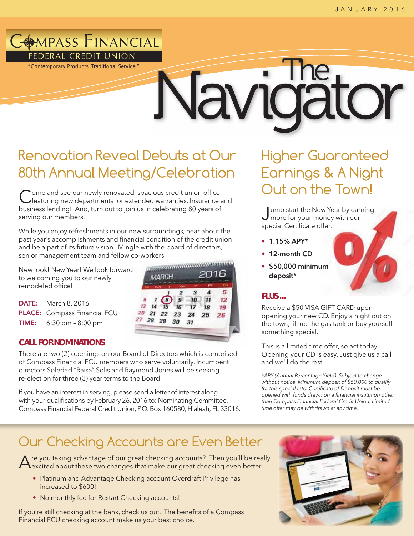# **AMPASS FINANCIAL** FEDERAL CREDIT UNION

*"Contemporary Products. Traditional Service."*

# Navidator

# Renovation Reveal Debuts at Our 80th Annual Meeting/Celebration

Come and see our newly renovated, spacious credit union office<br>
featuring new departments for extended warranties, Insurance and business lending! And, turn out to join us in celebrating 80 years of serving our members.

While you enjoy refreshments in our new surroundings, hear about the past year's accomplishments and financial condition of the credit union and be a part of its future vision. Mingle with the board of directors, senior management team and fellow co-workers<br>New look! New Year! We look forward

New look! New Year! We look forward to welcoming you to our newly remodeled office!

DATE: March 8, 2016 PLACE: Compass Financial FCU TIME: 6:30 pm – 8:00 pm

## **CALL FOR NOMINATIONS**

There are two (2) openings on our Board of Directors which is comprised of Compass Financial FCU members who serve voluntarily. Incumbent directors Soledad "Raisa" Solis and Raymond Jones will be seeking re-election for three (3) year terms to the Board.

If you have an interest in serving, please send a letter of interest along with your qualifications by February 26, 2016 to: Nominating Committee, Compass Financial Federal Credit Union, P.O. Box 160580, Hialeah, FL 33016.

# Higher Guaranteed Earnings & A Night Out on the Town!

ump start the New Year by earning **J** more for your money with our special Certificate offer:

- 1.15% APY\*
- 12-month CD
- \$50,000 minimum deposit\*

## **PLUS ...**

Receive a \$50 VISA GIFT CARD upon opening your new CD. Enjoy a night out on the town, fill up the gas tank or buy yourself something special.

This is a limited time offer, so act today. Opening your CD is easy. Just give us a call and we'll do the rest.

\*APY (Annual Percentage Yield). Subject to change without notice. Minimum deposit of \$50,000 to qualify for this special rate. Certificate of Deposit must be opened with funds drawn on a financial institution other than Compass Financial Federal Credit Union. Limited time offer may be withdrawn at any time.

# Our Checking Accounts are Even Better

 $\bigwedge$ re you taking advantage of our great checking accounts? Then you'll be really<br>excited about these two changes that make our great checking even better...

- Platinum and Advantage Checking account Overdraft Privilege has increased to \$600!
- No monthly fee for Restart Checking accounts!

If you're still checking at the bank, check us out. The benefits of a Compass Financial FCU checking account make us your best choice.



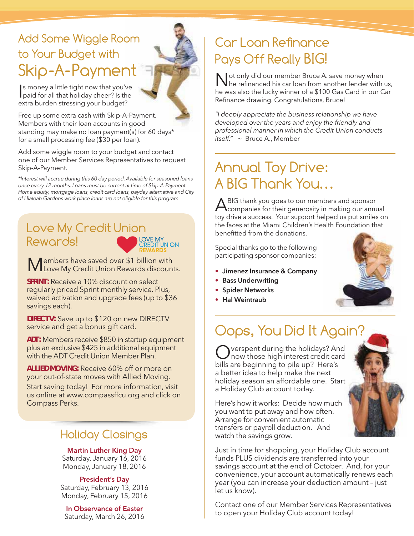# Add Some Wiggle Room to Your Budget with Skip-A-Payment

I paid for all that holiday cheer? Is the s money a little tight now that you've extra burden stressing your budget?

Free up some extra cash with Skip-A-Payment. Members with their loan accounts in good standing may make no loan payment(s) for 60 days\* for a small processing fee (\$30 per loan).

Add some wiggle room to your budget and contact one of our Member Services Representatives to request Skip-A-Payment.

\*Interest will accrue during this 60 day period. Available for seasoned loans once every 12 months. Loans must be current at time of Skip-A-Payment. Home equity, mortgage loans, credit card loans, payday alternative and City of Hialeah Gardens work place loans are not eligible for this program.

# Love My Credit Union<br>Rewards! Rewards!



Members have saved over \$1 billion with Love My Credit Union Rewards discounts.

**SPRINT:** Receive a 10% discount on select regularly priced Sprint monthly service. Plus, waived activation and upgrade fees (up to \$36 savings each).

**DIRECTV:** Save up to \$120 on new DIRECTV service and get a bonus gift card.

**ADT:** Members receive \$850 in startup equipment plus an exclusive \$425 in additional equipment with the ADT Credit Union Member Plan.

**ALLIED MOVING:** Receive 60% off or more on your out-of-state moves with Allied Moving.

Start saving today! For more information, visit us online at www.compassffcu.org and click on Compass Perks.

# Holiday Closings

## Martin Luther King Day

Saturday, January 16, 2016 Monday, January 18, 2016

#### President's Day

Saturday, February 13, 2016 Monday, February 15, 2016

In Observance of Easter Saturday, March 26, 2016

# Car Loan Reênance Pays Off Really BIG!

Not only did our member Bruce A. save money when he refinanced his car loan from another lender with us, he was also the lucky winner of a \$100 Gas Card in our Car Refinance drawing. Congratulations, Bruce!

"I deeply appreciate the business relationship we have developed over the years and enjoy the friendly and professional manner in which the Credit Union conducts itself." ~ Bruce A., Member

# Annual Toy Drive: A BIG Thank You…

A BIG thank you goes to our members and sponsor<br>companies for their generosity in making our annual toy drive a success. Your support helped us put smiles on the faces at the Miami Children's Health Foundation that benefitted from the donations.

Special thanks go to the following participating sponsor companies:

- Jimenez Insurance & Company
- Bass Underwriting
- Spider Networks
- Hal Weintraub



# Oops, You Did It Again?

Pverspent during the holidays? And now those high interest credit card bills are beginning to pile up? Here's a better idea to help make the next holiday season an affordable one. Start a Holiday Club account today.



Here's how it works: Decide how much you want to put away and how often. Arrange for convenient automatic transfers or payroll deduction. And watch the savings grow.

Just in time for shopping, your Holiday Club account funds PLUS dividends are transferred into your savings account at the end of October. And, for your convenience, your account automatically renews each year (you can increase your deduction amount – just let us know).

Contact one of our Member Services Representatives to open your Holiday Club account today!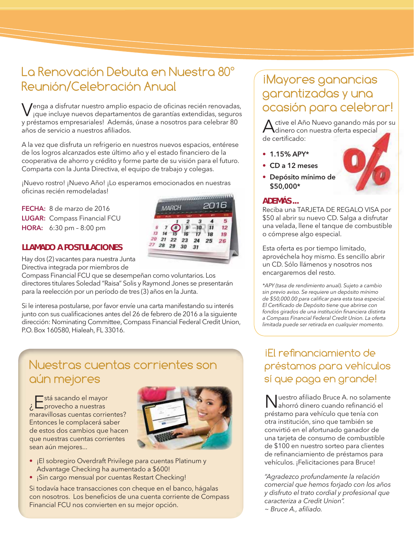# La Renovación Debuta en Nuestra 80° Reunión/Celebración Anual

Venga a disfrutar nuestro amplio espacio de oficinas recién renovadas, ¡que incluye nuevos departamentos de garantías extendidas, seguros y préstamos empresariales! Además, únase a nosotros para celebrar 80 años de servicio a nuestros afiliados.

A la vez que disfruta un refrigerio en nuestros nuevos espacios, entérese de los logros alcanzados este último año y el estado financiero de la cooperativa de ahorro y crédito y forme parte de su visión para el futuro. Comparta con la Junta Directiva, el equipo de trabajo y colegas.

¡Nuevo rostro! ¡Nuevo Año! ¡Lo esperamos emocionados en nuestras oficinas recién remodeladas!

FECHA: 8 de marzo de 2016 LUGAR: Compass Financial FCU HORA: 6:30 pm – 8:00 pm

## **LLAMADO A POSTULACIONES**

Hay dos (2) vacantes para nuestra Junta Directiva integrada por miembros de

Compass Financial FCU que se desempeñan como voluntarios. Los directores titulares Soledad "Raisa" Solis y Raymond Jones se presentarán para la reelección por un período de tres (3) años en la Junta.

Si le interesa postularse, por favor envíe una carta manifestando su interés junto con sus cualificaciones antes del 26 de febrero de 2016 a la siguiente dirección: Nominating Committee, Compass Financial Federal Credit Union, P.O. Box 160580, Hialeah, FL 33016.

# Nuestras cuentas corrientes son aún mejores

stá sacando el mayor -<br>\_provecho a nuestras maravillosas cuentas corrientes? Entonces le complacerá saber de estos dos cambios que hacen que nuestras cuentas corrientes sean aún mejores...



- ¡El sobregiro Overdraft Privilege para cuentas Platinum y Advantage Checking ha aumentado a \$600!
- ¡Sin cargo mensual por cuentas Restart Checking!

Si todavía hace transacciones con cheque en el banco, hágalas con nosotros. Los beneficios de una cuenta corriente de Compass Financial FCU nos convierten en su mejor opción.

# iMayores ganancias garantizadas y una ocasión para celebrar!

Active el Año Nuevo ganando más por su<br>dinero con nuestra oferta especial de certificado:

- $1.15%$  APY\*
- CD a 12 meses
- Depósito mínimo de \$50,000\*

### **ADEMÁS ...**

Reciba una TARJETA DE REGALO VISA por \$50 al abrir su nuevo CD. Salga a disfrutar una velada, llene el tanque de combustible o cómprese algo especial.

Esta oferta es por tiempo limitado, aprovéchela hoy mismo. Es sencillo abrir un CD. Sólo llámenos y nosotros nos encargaremos del resto.

\*APY (tasa de rendimiento anual). Sujeto a cambio sin previo aviso. Se requiere un depósito mínimo de \$50,000.00 para calificar para esta tasa especial. El Certificado de Depósito tiene que abrirse con fondos girados de una institución financiera distinta a Compass Financial Federal Credit Union. La oferta limitada puede ser retirada en cualquier momento.

## ¡El reênanciamiento de préstamos para vehículos sí que paga en grande!

Nuestro afiliado Bruce A. no solamente ahorró dinero cuando refinanció el préstamo para vehículo que tenía con otra institución, sino que también se convirtió en el afortunado ganador de una tarjeta de consumo de combustible de \$100 en nuestro sorteo para clientes de refinanciamiento de préstamos para vehículos. ¡Felicitaciones para Bruce!

"Agradezco profundamente la relación comercial que hemos forjado con los años y disfruto el trato cordial y profesional que caracteriza a Credit Union". ~ Bruce A., afiliado.